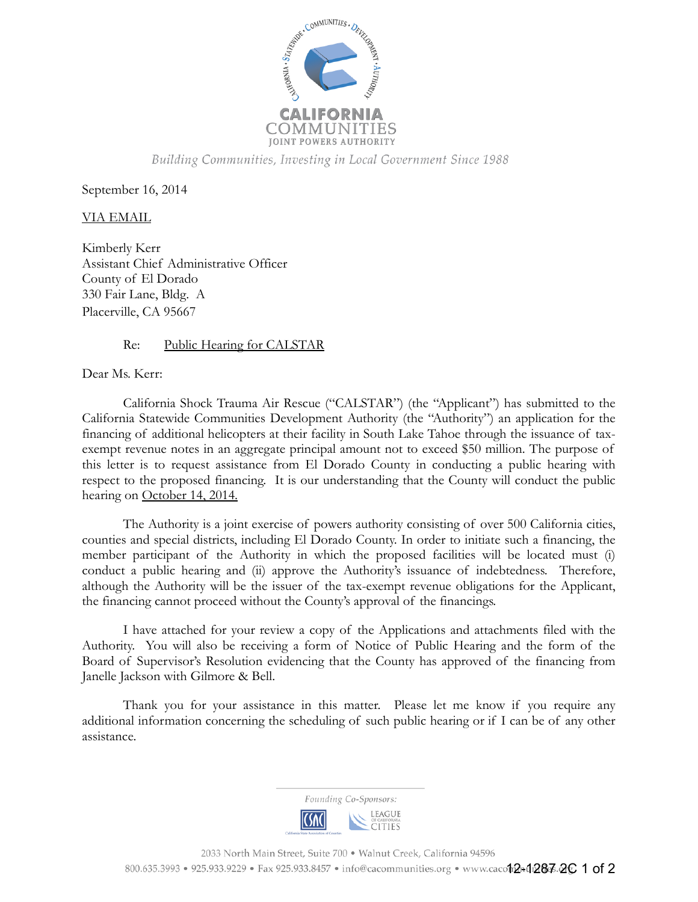

Building Communities, Investing in Local Government Since 1988

September 16, 2014

## VIA EMAIL

Kimberly Kerr Assistant Chief Administrative Officer County of El Dorado 330 Fair Lane, Bldg. A Placerville, CA 95667

## Re: Public Hearing for CALSTAR

## Dear Ms. Kerr:

California Shock Trauma Air Rescue ("CALSTAR") (the "Applicant") has submitted to the California Statewide Communities Development Authority (the "Authority") an application for the financing of additional helicopters at their facility in South Lake Tahoe through the issuance of taxexempt revenue notes in an aggregate principal amount not to exceed \$50 million. The purpose of this letter is to request assistance from El Dorado County in conducting a public hearing with respect to the proposed financing. It is our understanding that the County will conduct the public hearing on October 14, 2014.

The Authority is a joint exercise of powers authority consisting of over 500 California cities, counties and special districts, including El Dorado County. In order to initiate such a financing, the member participant of the Authority in which the proposed facilities will be located must (i) conduct a public hearing and (ii) approve the Authority's issuance of indebtedness. Therefore, although the Authority will be the issuer of the tax-exempt revenue obligations for the Applicant, the financing cannot proceed without the County's approval of the financings.

I have attached for your review a copy of the Applications and attachments filed with the Authority. You will also be receiving a form of Notice of Public Hearing and the form of the Board of Supervisor's Resolution evidencing that the County has approved of the financing from Janelle Jackson with Gilmore & Bell.

Thank you for your assistance in this matter. Please let me know if you require any additional information concerning the scheduling of such public hearing or if I can be of any other assistance.